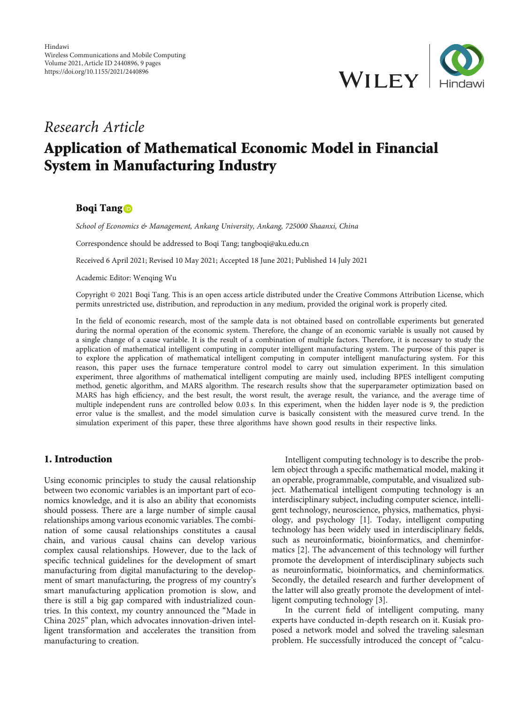

# Research Article

# Application of Mathematical Economic Model in Financial System in Manufacturing Industry

# Boqi Tang<sup>O</sup>

School of Economics & Management, Ankang University, Ankang, 725000 Shaanxi, China

Correspondence should be addressed to Boqi Tang; tangboqi@aku.edu.cn

Received 6 April 2021; Revised 10 May 2021; Accepted 18 June 2021; Published 14 July 2021

Academic Editor: Wenqing Wu

Copyright © 2021 Boqi Tang. This is an open access article distributed under the [Creative Commons Attribution License,](https://creativecommons.org/licenses/by/4.0/) which permits unrestricted use, distribution, and reproduction in any medium, provided the original work is properly cited.

In the field of economic research, most of the sample data is not obtained based on controllable experiments but generated during the normal operation of the economic system. Therefore, the change of an economic variable is usually not caused by a single change of a cause variable. It is the result of a combination of multiple factors. Therefore, it is necessary to study the application of mathematical intelligent computing in computer intelligent manufacturing system. The purpose of this paper is to explore the application of mathematical intelligent computing in computer intelligent manufacturing system. For this reason, this paper uses the furnace temperature control model to carry out simulation experiment. In this simulation experiment, three algorithms of mathematical intelligent computing are mainly used, including BPES intelligent computing method, genetic algorithm, and MARS algorithm. The research results show that the superparameter optimization based on MARS has high efficiency, and the best result, the worst result, the average result, the variance, and the average time of multiple independent runs are controlled below 0.03 s. In this experiment, when the hidden layer node is 9, the prediction error value is the smallest, and the model simulation curve is basically consistent with the measured curve trend. In the simulation experiment of this paper, these three algorithms have shown good results in their respective links.

## 1. Introduction

Using economic principles to study the causal relationship between two economic variables is an important part of economics knowledge, and it is also an ability that economists should possess. There are a large number of simple causal relationships among various economic variables. The combination of some causal relationships constitutes a causal chain, and various causal chains can develop various complex causal relationships. However, due to the lack of specific technical guidelines for the development of smart manufacturing from digital manufacturing to the development of smart manufacturing, the progress of my country's smart manufacturing application promotion is slow, and there is still a big gap compared with industrialized countries. In this context, my country announced the "Made in China 2025" plan, which advocates innovation-driven intelligent transformation and accelerates the transition from manufacturing to creation.

Intelligent computing technology is to describe the problem object through a specific mathematical model, making it an operable, programmable, computable, and visualized subject. Mathematical intelligent computing technology is an interdisciplinary subject, including computer science, intelligent technology, neuroscience, physics, mathematics, physiology, and psychology [\[1](#page-7-0)]. Today, intelligent computing technology has been widely used in interdisciplinary fields, such as neuroinformatic, bioinformatics, and cheminformatics [\[2](#page-7-0)]. The advancement of this technology will further promote the development of interdisciplinary subjects such as neuroinformatic, bioinformatics, and cheminformatics. Secondly, the detailed research and further development of the latter will also greatly promote the development of intelligent computing technology [[3\]](#page-7-0).

In the current field of intelligent computing, many experts have conducted in-depth research on it. Kusiak proposed a network model and solved the traveling salesman problem. He successfully introduced the concept of "calcu-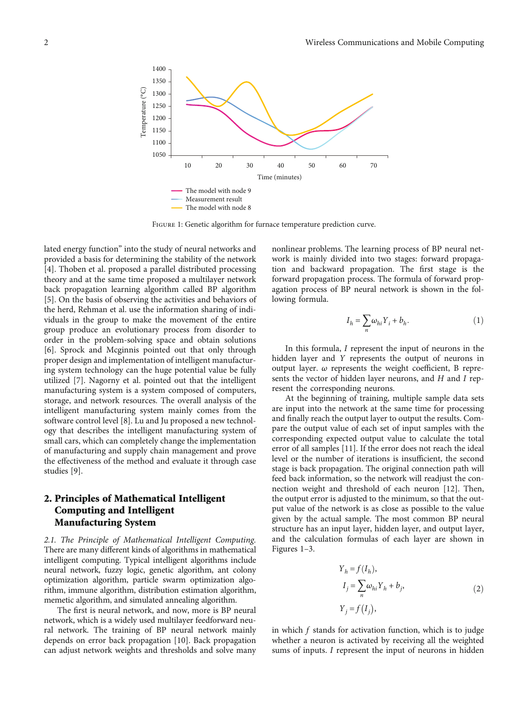

Figure 1: Genetic algorithm for furnace temperature prediction curve.

lated energy function" into the study of neural networks and provided a basis for determining the stability of the network [\[4](#page-7-0)]. Thoben et al. proposed a parallel distributed processing theory and at the same time proposed a multilayer network back propagation learning algorithm called BP algorithm [\[5](#page-7-0)]. On the basis of observing the activities and behaviors of the herd, Rehman et al. use the information sharing of individuals in the group to make the movement of the entire group produce an evolutionary process from disorder to order in the problem-solving space and obtain solutions [\[6](#page-7-0)]. Sprock and Mcginnis pointed out that only through proper design and implementation of intelligent manufacturing system technology can the huge potential value be fully utilized [[7\]](#page-7-0). Nagorny et al. pointed out that the intelligent manufacturing system is a system composed of computers, storage, and network resources. The overall analysis of the intelligent manufacturing system mainly comes from the software control level [\[8](#page-7-0)]. Lu and Ju proposed a new technology that describes the intelligent manufacturing system of small cars, which can completely change the implementation of manufacturing and supply chain management and prove the effectiveness of the method and evaluate it through case studies [[9](#page-7-0)].

# 2. Principles of Mathematical Intelligent Computing and Intelligent Manufacturing System

2.1. The Principle of Mathematical Intelligent Computing. There are many different kinds of algorithms in mathematical intelligent computing. Typical intelligent algorithms include neural network, fuzzy logic, genetic algorithm, ant colony optimization algorithm, particle swarm optimization algorithm, immune algorithm, distribution estimation algorithm, memetic algorithm, and simulated annealing algorithm.

The first is neural network, and now, more is BP neural network, which is a widely used multilayer feedforward neural network. The training of BP neural network mainly depends on error back propagation [\[10\]](#page-7-0). Back propagation can adjust network weights and thresholds and solve many nonlinear problems. The learning process of BP neural network is mainly divided into two stages: forward propagation and backward propagation. The first stage is the forward propagation process. The formula of forward propagation process of BP neural network is shown in the following formula.

$$
I_h = \sum_n \omega_{hi} Y_i + b_h. \tag{1}
$$

In this formula, *I* represent the input of neurons in the hidden layer and *Y* represents the output of neurons in output layer. *ω* represents the weight coefficient, B represents the vector of hidden layer neurons, and *H* and *I* represent the corresponding neurons.

At the beginning of training, multiple sample data sets are input into the network at the same time for processing and finally reach the output layer to output the results. Compare the output value of each set of input samples with the corresponding expected output value to calculate the total error of all samples [\[11](#page-7-0)]. If the error does not reach the ideal level or the number of iterations is insufficient, the second stage is back propagation. The original connection path will feed back information, so the network will readjust the connection weight and threshold of each neuron [\[12\]](#page-7-0). Then, the output error is adjusted to the minimum, so that the output value of the network is as close as possible to the value given by the actual sample. The most common BP neural structure has an input layer, hidden layer, and output layer, and the calculation formulas of each layer are shown in Figures 1–[3](#page-2-0).

$$
Y_h = f(I_h),
$$
  
\n
$$
I_j = \sum_n \omega_{hi} Y_h + b_j,
$$
  
\n
$$
Y_j = f(I_j),
$$
\n(2)

in which *f* stands for activation function, which is to judge whether a neuron is activated by receiving all the weighted sums of inputs. *I* represent the input of neurons in hidden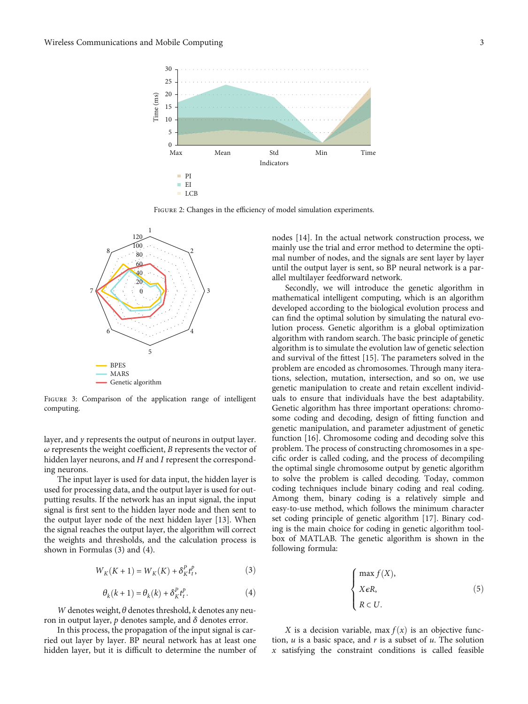<span id="page-2-0"></span>

FIGURE 2: Changes in the efficiency of model simulation experiments.



FIGURE 3: Comparison of the application range of intelligent computing.

layer, and *y* represents the output of neurons in output layer. *ω* represents the weight coefficient, *B* represents the vector of hidden layer neurons, and *H* and *I* represent the corresponding neurons.

The input layer is used for data input, the hidden layer is used for processing data, and the output layer is used for outputting results. If the network has an input signal, the input signal is first sent to the hidden layer node and then sent to the output layer node of the next hidden layer [[13](#page-7-0)]. When the signal reaches the output layer, the algorithm will correct the weights and thresholds, and the calculation process is shown in Formulas (3) and (4).

$$
W_K(K+1) = W_K(K) + \delta_K^P t_t^P, \qquad (3)
$$

$$
\theta_k(k+1) = \theta_k(k) + \delta_K^P t_t^P. \tag{4}
$$

*W* denotes weight, *θ* denotes threshold, *k* denotes any neuron in output layer, *p* denotes sample, and *δ* denotes error.

In this process, the propagation of the input signal is carried out layer by layer. BP neural network has at least one hidden layer, but it is difficult to determine the number of nodes [\[14\]](#page-7-0). In the actual network construction process, we mainly use the trial and error method to determine the optimal number of nodes, and the signals are sent layer by layer until the output layer is sent, so BP neural network is a parallel multilayer feedforward network.

Secondly, we will introduce the genetic algorithm in mathematical intelligent computing, which is an algorithm developed according to the biological evolution process and can find the optimal solution by simulating the natural evolution process. Genetic algorithm is a global optimization algorithm with random search. The basic principle of genetic algorithm is to simulate the evolution law of genetic selection and survival of the fittest [\[15\]](#page-7-0). The parameters solved in the problem are encoded as chromosomes. Through many iterations, selection, mutation, intersection, and so on, we use genetic manipulation to create and retain excellent individuals to ensure that individuals have the best adaptability. Genetic algorithm has three important operations: chromosome coding and decoding, design of fitting function and genetic manipulation, and parameter adjustment of genetic function [\[16\]](#page-7-0). Chromosome coding and decoding solve this problem. The process of constructing chromosomes in a specific order is called coding, and the process of decompiling the optimal single chromosome output by genetic algorithm to solve the problem is called decoding. Today, common coding techniques include binary coding and real coding. Among them, binary coding is a relatively simple and easy-to-use method, which follows the minimum character set coding principle of genetic algorithm [\[17\]](#page-7-0). Binary coding is the main choice for coding in genetic algorithm toolbox of MATLAB. The genetic algorithm is shown in the following formula:

$$
\begin{cases}\n\max f(X), \\
X \in R, \\
R \subset U.\n\end{cases} \tag{5}
$$

*X* is a decision variable, max  $f(x)$  is an objective function, *u* is a basic space, and *r* is a subset of *u*. The solution *x* satisfying the constraint conditions is called feasible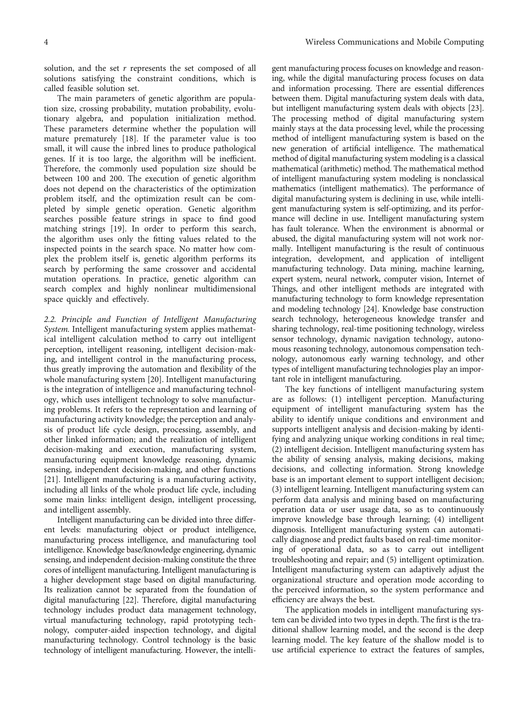solution, and the set *r* represents the set composed of all solutions satisfying the constraint conditions, which is called feasible solution set.

The main parameters of genetic algorithm are population size, crossing probability, mutation probability, evolutionary algebra, and population initialization method. These parameters determine whether the population will mature prematurely [\[18\]](#page-7-0). If the parameter value is too small, it will cause the inbred lines to produce pathological genes. If it is too large, the algorithm will be inefficient. Therefore, the commonly used population size should be between 100 and 200. The execution of genetic algorithm does not depend on the characteristics of the optimization problem itself, and the optimization result can be completed by simple genetic operation. Genetic algorithm searches possible feature strings in space to find good matching strings [[19](#page-7-0)]. In order to perform this search, the algorithm uses only the fitting values related to the inspected points in the search space. No matter how complex the problem itself is, genetic algorithm performs its search by performing the same crossover and accidental mutation operations. In practice, genetic algorithm can search complex and highly nonlinear multidimensional space quickly and effectively.

2.2. Principle and Function of Intelligent Manufacturing System. Intelligent manufacturing system applies mathematical intelligent calculation method to carry out intelligent perception, intelligent reasoning, intelligent decision-making, and intelligent control in the manufacturing process, thus greatly improving the automation and flexibility of the whole manufacturing system [[20\]](#page-7-0). Intelligent manufacturing is the integration of intelligence and manufacturing technology, which uses intelligent technology to solve manufacturing problems. It refers to the representation and learning of manufacturing activity knowledge; the perception and analysis of product life cycle design, processing, assembly, and other linked information; and the realization of intelligent decision-making and execution, manufacturing system, manufacturing equipment knowledge reasoning, dynamic sensing, independent decision-making, and other functions [\[21\]](#page-7-0). Intelligent manufacturing is a manufacturing activity, including all links of the whole product life cycle, including some main links: intelligent design, intelligent processing, and intelligent assembly.

Intelligent manufacturing can be divided into three different levels: manufacturing object or product intelligence, manufacturing process intelligence, and manufacturing tool intelligence. Knowledge base/knowledge engineering, dynamic sensing, and independent decision-making constitute the three cores of intelligent manufacturing. Intelligent manufacturing is a higher development stage based on digital manufacturing. Its realization cannot be separated from the foundation of digital manufacturing [[22](#page-7-0)]. Therefore, digital manufacturing technology includes product data management technology, virtual manufacturing technology, rapid prototyping technology, computer-aided inspection technology, and digital manufacturing technology. Control technology is the basic technology of intelligent manufacturing. However, the intelli-

gent manufacturing process focuses on knowledge and reasoning, while the digital manufacturing process focuses on data and information processing. There are essential differences between them. Digital manufacturing system deals with data, but intelligent manufacturing system deals with objects [\[23](#page-7-0)]. The processing method of digital manufacturing system mainly stays at the data processing level, while the processing method of intelligent manufacturing system is based on the new generation of artificial intelligence. The mathematical method of digital manufacturing system modeling is a classical mathematical (arithmetic) method. The mathematical method of intelligent manufacturing system modeling is nonclassical mathematics (intelligent mathematics). The performance of digital manufacturing system is declining in use, while intelligent manufacturing system is self-optimizing, and its performance will decline in use. Intelligent manufacturing system has fault tolerance. When the environment is abnormal or abused, the digital manufacturing system will not work normally. Intelligent manufacturing is the result of continuous integration, development, and application of intelligent manufacturing technology. Data mining, machine learning, expert system, neural network, computer vision, Internet of Things, and other intelligent methods are integrated with manufacturing technology to form knowledge representation and modeling technology [\[24](#page-7-0)]. Knowledge base construction search technology, heterogeneous knowledge transfer and sharing technology, real-time positioning technology, wireless sensor technology, dynamic navigation technology, autonomous reasoning technology, autonomous compensation technology, autonomous early warning technology, and other types of intelligent manufacturing technologies play an important role in intelligent manufacturing.

The key functions of intelligent manufacturing system are as follows: (1) intelligent perception. Manufacturing equipment of intelligent manufacturing system has the ability to identify unique conditions and environment and supports intelligent analysis and decision-making by identifying and analyzing unique working conditions in real time; (2) intelligent decision. Intelligent manufacturing system has the ability of sensing analysis, making decisions, making decisions, and collecting information. Strong knowledge base is an important element to support intelligent decision; (3) intelligent learning. Intelligent manufacturing system can perform data analysis and mining based on manufacturing operation data or user usage data, so as to continuously improve knowledge base through learning; (4) intelligent diagnosis. Intelligent manufacturing system can automatically diagnose and predict faults based on real-time monitoring of operational data, so as to carry out intelligent troubleshooting and repair; and (5) intelligent optimization. Intelligent manufacturing system can adaptively adjust the organizational structure and operation mode according to the perceived information, so the system performance and efficiency are always the best.

The application models in intelligent manufacturing system can be divided into two types in depth. The first is the traditional shallow learning model, and the second is the deep learning model. The key feature of the shallow model is to use artificial experience to extract the features of samples,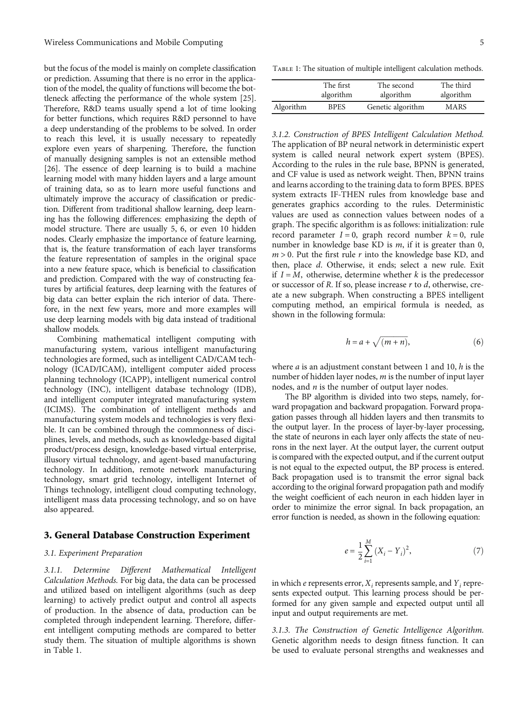but the focus of the model is mainly on complete classification or prediction. Assuming that there is no error in the application of the model, the quality of functions will become the bottleneck affecting the performance of the whole system [\[25](#page-8-0)]. Therefore, R&D teams usually spend a lot of time looking for better functions, which requires R&D personnel to have a deep understanding of the problems to be solved. In order to reach this level, it is usually necessary to repeatedly explore even years of sharpening. Therefore, the function of manually designing samples is not an extensible method [\[26\]](#page-8-0). The essence of deep learning is to build a machine learning model with many hidden layers and a large amount of training data, so as to learn more useful functions and ultimately improve the accuracy of classification or prediction. Different from traditional shallow learning, deep learning has the following differences: emphasizing the depth of model structure. There are usually 5, 6, or even 10 hidden nodes. Clearly emphasize the importance of feature learning, that is, the feature transformation of each layer transforms the feature representation of samples in the original space into a new feature space, which is beneficial to classification and prediction. Compared with the way of constructing features by artificial features, deep learning with the features of big data can better explain the rich interior of data. Therefore, in the next few years, more and more examples will use deep learning models with big data instead of traditional shallow models.

Combining mathematical intelligent computing with manufacturing system, various intelligent manufacturing technologies are formed, such as intelligent CAD/CAM technology (ICAD/ICAM), intelligent computer aided process planning technology (ICAPP), intelligent numerical control technology (INC), intelligent database technology (IDB), and intelligent computer integrated manufacturing system (ICIMS). The combination of intelligent methods and manufacturing system models and technologies is very flexible. It can be combined through the commonness of disciplines, levels, and methods, such as knowledge-based digital product/process design, knowledge-based virtual enterprise, illusory virtual technology, and agent-based manufacturing technology. In addition, remote network manufacturing technology, smart grid technology, intelligent Internet of Things technology, intelligent cloud computing technology, intelligent mass data processing technology, and so on have also appeared.

### 3. General Database Construction Experiment

#### 3.1. Experiment Preparation

3.1.1. Determine Different Mathematical Intelligent Calculation Methods. For big data, the data can be processed and utilized based on intelligent algorithms (such as deep learning) to actively predict output and control all aspects of production. In the absence of data, production can be completed through independent learning. Therefore, different intelligent computing methods are compared to better study them. The situation of multiple algorithms is shown in Table 1.

TABLE 1: The situation of multiple intelligent calculation methods.

|           | The first   | The second        | The third   |
|-----------|-------------|-------------------|-------------|
|           | algorithm   | algorithm         | algorithm   |
| Algorithm | <b>BPES</b> | Genetic algorithm | <b>MARS</b> |

3.1.2. Construction of BPES Intelligent Calculation Method. The application of BP neural network in deterministic expert system is called neural network expert system (BPES). According to the rules in the rule base, BPNN is generated, and CF value is used as network weight. Then, BPNN trains and learns according to the training data to form BPES. BPES system extracts IF-THEN rules from knowledge base and generates graphics according to the rules. Deterministic values are used as connection values between nodes of a graph. The specific algorithm is as follows: initialization: rule record parameter  $I = 0$ , graph record number  $k = 0$ , rule number in knowledge base KD is *m*, if it is greater than 0,  $m > 0$ . Put the first rule  $r$  into the knowledge base KD, and then, place *d*. Otherwise, it ends; select a new rule. Exit if  $I = M$ , otherwise, determine whether  $k$  is the predecessor or successor of *R*. If so, please increase *r* to *d*, otherwise, create a new subgraph. When constructing a BPES intelligent computing method, an empirical formula is needed, as shown in the following formula:

$$
h = a + \sqrt{(m+n)},\tag{6}
$$

where *a* is an adjustment constant between 1 and 10, *h* is the number of hidden layer nodes, *m* is the number of input layer nodes, and *n* is the number of output layer nodes.

The BP algorithm is divided into two steps, namely, forward propagation and backward propagation. Forward propagation passes through all hidden layers and then transmits to the output layer. In the process of layer-by-layer processing, the state of neurons in each layer only affects the state of neurons in the next layer. At the output layer, the current output is compared with the expected output, and if the current output is not equal to the expected output, the BP process is entered. Back propagation used is to transmit the error signal back according to the original forward propagation path and modify the weight coefficient of each neuron in each hidden layer in order to minimize the error signal. In back propagation, an error function is needed, as shown in the following equation:

$$
e = \frac{1}{2} \sum_{i=1}^{M} (X_i - Y_i)^2,
$$
 (7)

in which *e* represents error, *X<sub>i</sub>* represents sample, and *Y<sub>i</sub>* represents expected output. This learning process should be performed for any given sample and expected output until all input and output requirements are met.

3.1.3. The Construction of Genetic Intelligence Algorithm. Genetic algorithm needs to design fitness function. It can be used to evaluate personal strengths and weaknesses and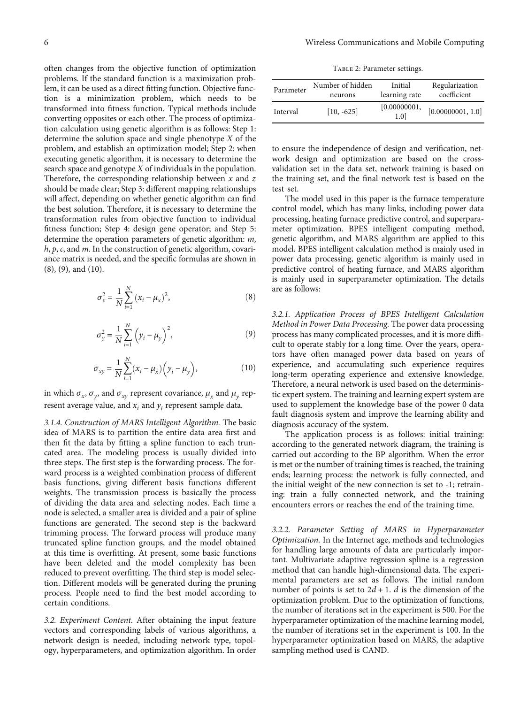<span id="page-5-0"></span>often changes from the objective function of optimization problems. If the standard function is a maximization problem, it can be used as a direct fitting function. Objective function is a minimization problem, which needs to be transformed into fitness function. Typical methods include converting opposites or each other. The process of optimization calculation using genetic algorithm is as follows: Step 1: determine the solution space and single phenotype *X* of the problem, and establish an optimization model; Step 2: when executing genetic algorithm, it is necessary to determine the search space and genotype *X* of individuals in the population. Therefore, the corresponding relationship between *x* and *z* should be made clear; Step 3: different mapping relationships will affect, depending on whether genetic algorithm can find the best solution. Therefore, it is necessary to determine the transformation rules from objective function to individual fitness function; Step 4: design gene operator; and Step 5: determine the operation parameters of genetic algorithm: *m*, *h*, *p*, *c*, and *m*. In the construction of genetic algorithm, covariance matrix is needed, and the specific formulas are shown in (8), (9), and (10).

$$
\sigma_x^2 = \frac{1}{N} \sum_{i=1}^N (x_i - \mu_x)^2, \tag{8}
$$

$$
\sigma_{y}^{2} = \frac{1}{N} \sum_{i=1}^{N} (\gamma_{i} - \mu_{y})^{2},
$$
\n(9)

$$
\sigma_{xy} = \frac{1}{N} \sum_{i=1}^{N} (x_i - \mu_x) (y_i - \mu_y),
$$
 (10)

in which  $\sigma_x$ ,  $\sigma_y$ , and  $\sigma_{xy}$  represent covariance,  $\mu_x$  and  $\mu_y$  represent average value, and  $x_i$  and  $y_i$  represent sample data.

3.1.4. Construction of MARS Intelligent Algorithm. The basic idea of MARS is to partition the entire data area first and then fit the data by fitting a spline function to each truncated area. The modeling process is usually divided into three steps. The first step is the forwarding process. The forward process is a weighted combination process of different basis functions, giving different basis functions different weights. The transmission process is basically the process of dividing the data area and selecting nodes. Each time a node is selected, a smaller area is divided and a pair of spline functions are generated. The second step is the backward trimming process. The forward process will produce many truncated spline function groups, and the model obtained at this time is overfitting. At present, some basic functions have been deleted and the model complexity has been reduced to prevent overfitting. The third step is model selection. Different models will be generated during the pruning process. People need to find the best model according to certain conditions.

3.2. Experiment Content. After obtaining the input feature vectors and corresponding labels of various algorithms, a network design is needed, including network type, topology, hyperparameters, and optimization algorithm. In order

TABLE 2: Parameter settings.

| Parameter | Number of hidden | Initial             | Regularization    |
|-----------|------------------|---------------------|-------------------|
|           | neurons          | learning rate       | coefficient       |
| Interval  | $[10, -625]$     | [0.00000001,<br>1.0 | [0.00000001, 1.0] |

to ensure the independence of design and verification, network design and optimization are based on the crossvalidation set in the data set, network training is based on the training set, and the final network test is based on the test set.

The model used in this paper is the furnace temperature control model, which has many links, including power data processing, heating furnace predictive control, and superparameter optimization. BPES intelligent computing method, genetic algorithm, and MARS algorithm are applied to this model. BPES intelligent calculation method is mainly used in power data processing, genetic algorithm is mainly used in predictive control of heating furnace, and MARS algorithm is mainly used in superparameter optimization. The details are as follows:

3.2.1. Application Process of BPES Intelligent Calculation Method in Power Data Processing. The power data processing process has many complicated processes, and it is more difficult to operate stably for a long time. Over the years, operators have often managed power data based on years of experience, and accumulating such experience requires long-term operating experience and extensive knowledge. Therefore, a neural network is used based on the deterministic expert system. The training and learning expert system are used to supplement the knowledge base of the power 0 data fault diagnosis system and improve the learning ability and diagnosis accuracy of the system.

The application process is as follows: initial training: according to the generated network diagram, the training is carried out according to the BP algorithm. When the error is met or the number of training times is reached, the training ends; learning process: the network is fully connected, and the initial weight of the new connection is set to -1; retraining: train a fully connected network, and the training encounters errors or reaches the end of the training time.

3.2.2. Parameter Setting of MARS in Hyperparameter Optimization. In the Internet age, methods and technologies for handling large amounts of data are particularly important. Multivariate adaptive regression spline is a regression method that can handle high-dimensional data. The experimental parameters are set as follows. The initial random number of points is set to  $2d + 1$ . *d* is the dimension of the optimization problem. Due to the optimization of functions, the number of iterations set in the experiment is 500. For the hyperparameter optimization of the machine learning model, the number of iterations set in the experiment is 100. In the hyperparameter optimization based on MARS, the adaptive sampling method used is CAND.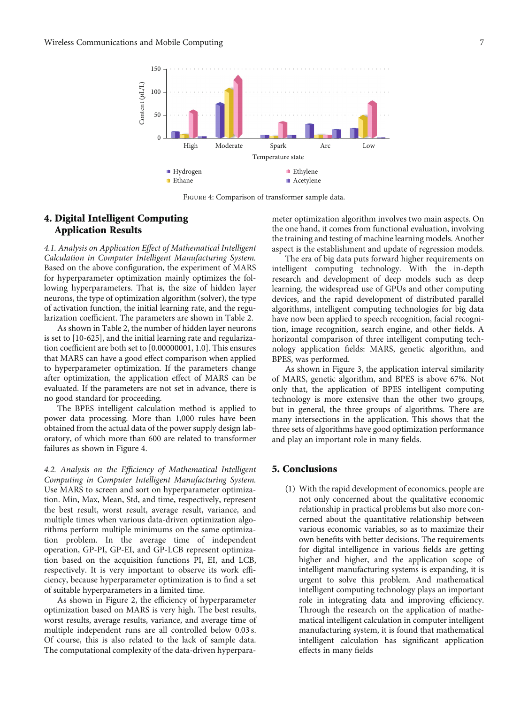

Figure 4: Comparison of transformer sample data.

# 4. Digital Intelligent Computing Application Results

4.1. Analysis on Application Effect of Mathematical Intelligent Calculation in Computer Intelligent Manufacturing System. Based on the above configuration, the experiment of MARS for hyperparameter optimization mainly optimizes the following hyperparameters. That is, the size of hidden layer neurons, the type of optimization algorithm (solver), the type of activation function, the initial learning rate, and the regularization coefficient. The parameters are shown in Table [2.](#page-5-0)

As shown in Table [2,](#page-5-0) the number of hidden layer neurons is set to [10-625], and the initial learning rate and regularization coefficient are both set to [0.00000001, 1.0]. This ensures that MARS can have a good effect comparison when applied to hyperparameter optimization. If the parameters change after optimization, the application effect of MARS can be evaluated. If the parameters are not set in advance, there is no good standard for proceeding.

The BPES intelligent calculation method is applied to power data processing. More than 1,000 rules have been obtained from the actual data of the power supply design laboratory, of which more than 600 are related to transformer failures as shown in Figure 4.

4.2. Analysis on the Efficiency of Mathematical Intelligent Computing in Computer Intelligent Manufacturing System. Use MARS to screen and sort on hyperparameter optimization. Min, Max, Mean, Std, and time, respectively, represent the best result, worst result, average result, variance, and multiple times when various data-driven optimization algorithms perform multiple minimums on the same optimization problem. In the average time of independent operation, GP-PI, GP-EI, and GP-LCB represent optimization based on the acquisition functions PI, EI, and LCB, respectively. It is very important to observe its work efficiency, because hyperparameter optimization is to find a set of suitable hyperparameters in a limited time.

As shown in Figure [2,](#page-2-0) the efficiency of hyperparameter optimization based on MARS is very high. The best results, worst results, average results, variance, and average time of multiple independent runs are all controlled below 0.03 s. Of course, this is also related to the lack of sample data. The computational complexity of the data-driven hyperparameter optimization algorithm involves two main aspects. On the one hand, it comes from functional evaluation, involving the training and testing of machine learning models. Another aspect is the establishment and update of regression models.

The era of big data puts forward higher requirements on intelligent computing technology. With the in-depth research and development of deep models such as deep learning, the widespread use of GPUs and other computing devices, and the rapid development of distributed parallel algorithms, intelligent computing technologies for big data have now been applied to speech recognition, facial recognition, image recognition, search engine, and other fields. A horizontal comparison of three intelligent computing technology application fields: MARS, genetic algorithm, and BPES, was performed.

As shown in Figure [3,](#page-2-0) the application interval similarity of MARS, genetic algorithm, and BPES is above 67%. Not only that, the application of BPES intelligent computing technology is more extensive than the other two groups, but in general, the three groups of algorithms. There are many intersections in the application. This shows that the three sets of algorithms have good optimization performance and play an important role in many fields.

## 5. Conclusions

(1) With the rapid development of economics, people are not only concerned about the qualitative economic relationship in practical problems but also more concerned about the quantitative relationship between various economic variables, so as to maximize their own benefits with better decisions. The requirements for digital intelligence in various fields are getting higher and higher, and the application scope of intelligent manufacturing systems is expanding, it is urgent to solve this problem. And mathematical intelligent computing technology plays an important role in integrating data and improving efficiency. Through the research on the application of mathematical intelligent calculation in computer intelligent manufacturing system, it is found that mathematical intelligent calculation has significant application effects in many fields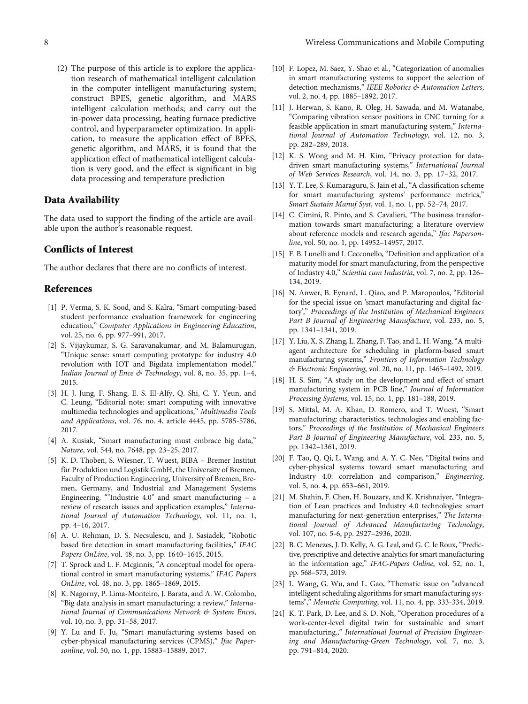<span id="page-7-0"></span>(2) The purpose of this article is to explore the application research of mathematical intelligent calculation in the computer intelligent manufacturing system; construct BPES, genetic algorithm, and MARS intelligent calculation methods; and carry out the in-power data processing, heating furnace predictive control, and hyperparameter optimization. In application, to measure the application effect of BPES, genetic algorithm, and MARS, it is found that the application effect of mathematical intelligent calculation is very good, and the effect is significant in big data processing and temperature prediction

## Data Availability

The data used to support the finding of the article are available upon the author's reasonable request.

## Conflicts of Interest

The author declares that there are no conflicts of interest.

### References

- [1] P. Verma, S. K. Sood, and S. Kalra, "Smart computing-based student performance evaluation framework for engineering education," Computer Applications in Engineering Education, vol. 25, no. 6, pp. 977–991, 2017.
- [2] S. Vijaykumar, S. G. Saravanakumar, and M. Balamurugan, "Unique sense: smart computing prototype for industry 4.0 revolution with IOT and Bigdata implementation model," Indian Journal of Ence & Technology, vol. 8, no. 35, pp. 1–4, 2015.
- [3] H. J. Jung, F. Shang, E. S. El-Alfy, Q. Shi, C. Y. Yeun, and C. Leung, "Editorial note: smart computing with innovative multimedia technologies and applications," Multimedia Tools and Applications, vol. 76, no. 4, article 4445, pp. 5785-5786, 2017.
- [4] A. Kusiak, "Smart manufacturing must embrace big data," Nature, vol. 544, no. 7648, pp. 23–25, 2017.
- [5] K. D. Thoben, S. Wiesner, T. Wuest, BIBA Bremer Institut für Produktion und Logistik GmbH, the University of Bremen, Faculty of Production Engineering, University of Bremen, Bremen, Germany, and Industrial and Management Systems Engineering, ""Industrie 4.0" and smart manufacturing – a review of research issues and application examples," International Journal of Automation Technology, vol. 11, no. 1, pp. 4–16, 2017.
- [6] A. U. Rehman, D. S. Necsulescu, and J. Sasiadek, "Robotic based fire detection in smart manufacturing facilities," IFAC Papers OnLine, vol. 48, no. 3, pp. 1640–1645, 2015.
- [7] T. Sprock and L. F. Mcginnis, "A conceptual model for operational control in smart manufacturing systems," IFAC Papers OnLine, vol. 48, no. 3, pp. 1865–1869, 2015.
- [8] K. Nagorny, P. Lima-Monteiro, J. Barata, and A. W. Colombo, "Big data analysis in smart manufacturing: a review," International Journal of Communications Network & System Ences, vol. 10, no. 3, pp. 31–58, 2017.
- [9] Y. Lu and F. Ju, "Smart manufacturing systems based on cyber-physical manufacturing services (CPMS)," Ifac Papersonline, vol. 50, no. 1, pp. 15883–15889, 2017.
- [10] F. Lopez, M. Saez, Y. Shao et al., "Categorization of anomalies in smart manufacturing systems to support the selection of detection mechanisms," IEEE Robotics & Automation Letters, vol. 2, no. 4, pp. 1885–1892, 2017.
- [11] J. Herwan, S. Kano, R. Oleg, H. Sawada, and M. Watanabe, "Comparing vibration sensor positions in CNC turning for a feasible application in smart manufacturing system," International Journal of Automation Technology, vol. 12, no. 3, pp. 282–289, 2018.
- [12] K. S. Wong and M. H. Kim, "Privacy protection for datadriven smart manufacturing systems," International Journal of Web Services Research, vol. 14, no. 3, pp. 17–32, 2017.
- [13] Y. T. Lee, S. Kumaraguru, S. Jain et al., "A classification scheme for smart manufacturing systems' performance metrics," Smart Sustain Manuf Syst, vol. 1, no. 1, pp. 52–74, 2017.
- [14] C. Cimini, R. Pinto, and S. Cavalieri, "The business transformation towards smart manufacturing: a literature overview about reference models and research agenda," Ifac Papersonline, vol. 50, no. 1, pp. 14952–14957, 2017.
- [15] F. B. Lunelli and I. Cecconello, "Definition and application of a maturity model for smart manufacturing, from the perspective of Industry 4.0," Scientia cum Industria, vol. 7, no. 2, pp. 126– 134, 2019.
- [16] N. Anwer, B. Eynard, L. Qiao, and P. Maropoulos, "Editorial for the special issue on 'smart manufacturing and digital factory'," Proceedings of the Institution of Mechanical Engineers Part B Journal of Engineering Manufacture, vol. 233, no. 5, pp. 1341–1341, 2019.
- [17] Y. Liu, X. S. Zhang, L. Zhang, F. Tao, and L. H. Wang, "A multiagent architecture for scheduling in platform-based smart manufacturing systems," Frontiers of Information Technology & Electronic Engineering, vol. 20, no. 11, pp. 1465–1492, 2019.
- [18] H. S. Sim, "A study on the development and effect of smart manufacturing system in PCB line," Journal of Information Processing Systems, vol. 15, no. 1, pp. 181–188, 2019.
- [19] S. Mittal, M. A. Khan, D. Romero, and T. Wuest, "Smart manufacturing: characteristics, technologies and enabling factors," Proceedings of the Institution of Mechanical Engineers Part B Journal of Engineering Manufacture, vol. 233, no. 5, pp. 1342–1361, 2019.
- [20] F. Tao, Q. Qi, L. Wang, and A. Y. C. Nee, "Digital twins and cyber-physical systems toward smart manufacturing and Industry 4.0: correlation and comparison," Engineering, vol. 5, no. 4, pp. 653–661, 2019.
- [21] M. Shahin, F. Chen, H. Bouzary, and K. Krishnaiyer, "Integration of Lean practices and Industry 4.0 technologies: smart manufacturing for next-generation enterprises," The International Journal of Advanced Manufacturing Technology, vol. 107, no. 5-6, pp. 2927–2936, 2020.
- [22] B. C. Menezes, J. D. Kelly, A. G. Leal, and G. C. le Roux, "Predictive, prescriptive and detective analytics for smart manufacturing in the information age," IFAC-Papers Online, vol. 52, no. 1, pp. 568–573, 2019.
- [23] L. Wang, G. Wu, and L. Gao, "Thematic issue on "advanced" intelligent scheduling algorithms for smart manufacturing systems"," Memetic Computing, vol. 11, no. 4, pp. 333-334, 2019.
- [24] K. T. Park, D. Lee, and S. D. Noh, "Operation procedures of a work-center-level digital twin for sustainable and smart manufacturing.," International Journal of Precision Engineering and Manufacturing-Green Technology, vol. 7, no. 3, pp. 791–814, 2020.